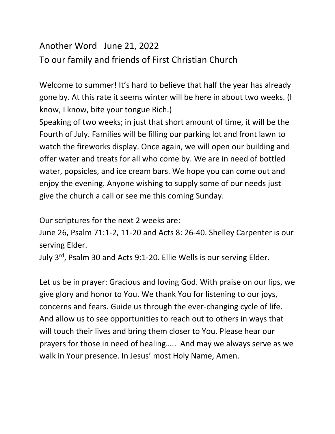## Another Word June 21, 2022 To our family and friends of First Christian Church

Welcome to summer! It's hard to believe that half the year has already gone by. At this rate it seems winter will be here in about two weeks. (I know, I know, bite your tongue Rich.)

Speaking of two weeks; in just that short amount of time, it will be the Fourth of July. Families will be filling our parking lot and front lawn to watch the fireworks display. Once again, we will open our building and offer water and treats for all who come by. We are in need of bottled water, popsicles, and ice cream bars. We hope you can come out and enjoy the evening. Anyone wishing to supply some of our needs just give the church a call or see me this coming Sunday.

Our scriptures for the next 2 weeks are:

June 26, Psalm 71:1-2, 11-20 and Acts 8: 26-40. Shelley Carpenter is our serving Elder.

July 3<sup>rd</sup>, Psalm 30 and Acts 9:1-20. Ellie Wells is our serving Elder.

Let us be in prayer: Gracious and loving God. With praise on our lips, we give glory and honor to You. We thank You for listening to our joys, concerns and fears. Guide us through the ever-changing cycle of life. And allow us to see opportunities to reach out to others in ways that will touch their lives and bring them closer to You. Please hear our prayers for those in need of healing….. And may we always serve as we walk in Your presence. In Jesus' most Holy Name, Amen.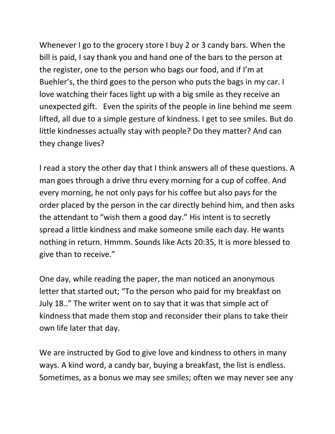Whenever I go to the grocery store I buy 2 or 3 candy bars. When the bill is paid, I say thank you and hand one of the bars to the person at the register, one to the person who bags our food, and if I'm at Buehler's, the third goes to the person who puts the bags in my car. I love watching their faces light up with a big smile as they receive an unexpected gift. Even the spirits of the people in line behind me seem lifted, all due to a simple gesture of kindness. I get to see smiles. But do little kindnesses actually stay with people? Do they matter? And can they change lives?

I read a story the other day that I think answers all of these questions. A man goes through a drive thru every morning for a cup of coffee. And every morning, he not only pays for his coffee but also pays for the order placed by the person in the car directly behind him, and then asks the attendant to "wish them a good day." His intent is to secretly spread a little kindness and make someone smile each day. He wants nothing in return. Hmmm. Sounds like Acts 20:35, It is more blessed to give than to receive."

One day, while reading the paper, the man noticed an anonymous letter that started out; "To the person who paid for my breakfast on July 18.." The writer went on to say that it was that simple act of kindness that made them stop and reconsider their plans to take their own life later that day.

We are instructed by God to give love and kindness to others in many ways. A kind word, a candy bar, buying a breakfast, the list is endless. Sometimes, as a bonus we may see smiles; often we may never see any